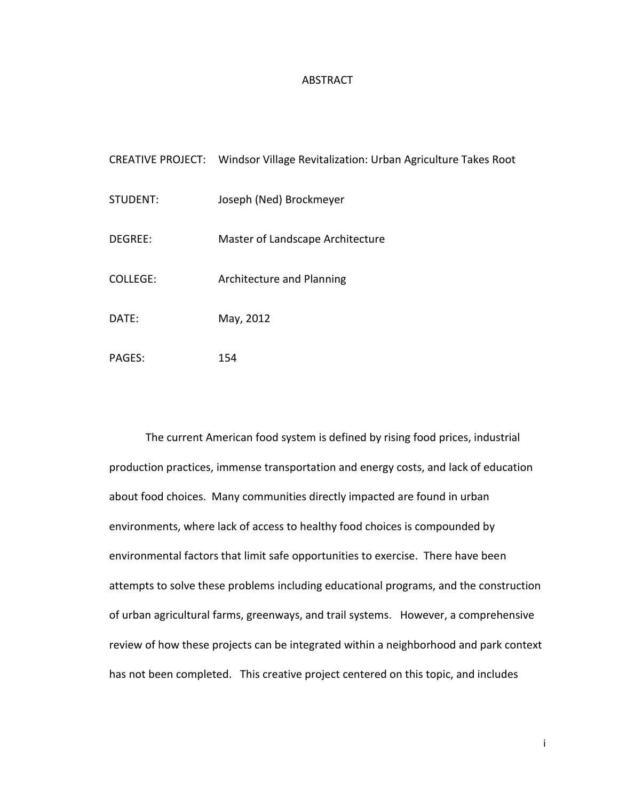## ABSTRACT

|          | CREATIVE PROJECT: Windsor Village Revitalization: Urban Agriculture Takes Root |
|----------|--------------------------------------------------------------------------------|
| STUDENT: | Joseph (Ned) Brockmeyer                                                        |
| DEGREE:  | Master of Landscape Architecture                                               |
| COLLFGF: | Architecture and Planning                                                      |
| DATF:    | May, 2012                                                                      |
|          |                                                                                |

PAGES: 154

The current American food system is defined by rising food prices, industrial production practices, immense transportation and energy costs, and lack of education about food choices. Many communities directly impacted are found in urban environments, where lack of access to healthy food choices is compounded by environmental factors that limit safe opportunities to exercise. There have been attempts to solve these problems including educational programs, and the construction of urban agricultural farms, greenways, and trail systems. However, a comprehensive review of how these projects can be integrated within a neighborhood and park context has not been completed. This creative project centered on this topic, and includes